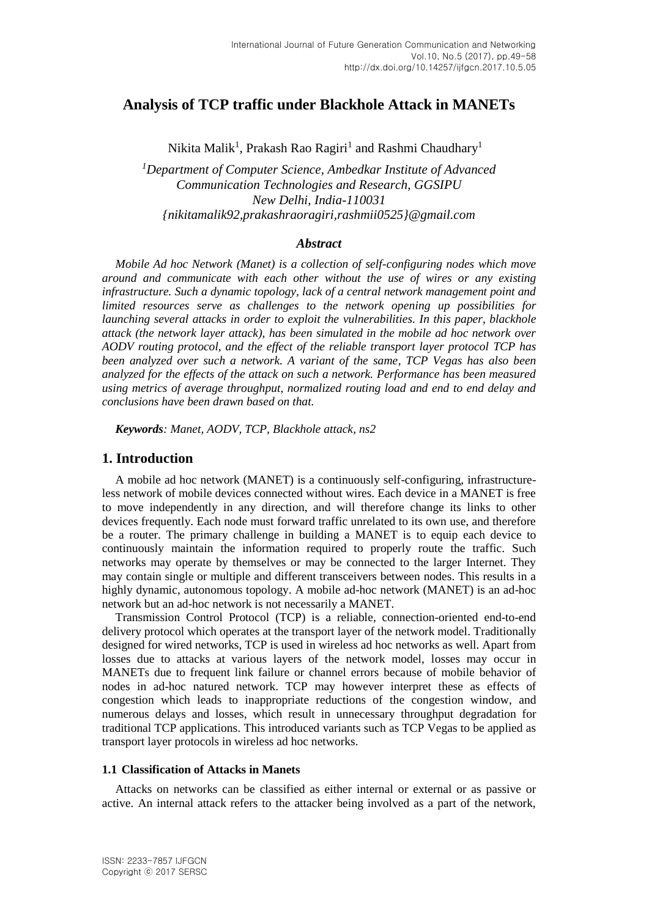# **Analysis of TCP traffic under Blackhole Attack in MANETs**

Nikita Malik $^1$ , Prakash Rao Ragiri $^1$  and Rashmi Chaudhary $^1$ 

*<sup>1</sup>Department of Computer Science, Ambedkar Institute of Advanced Communication Technologies and Research, GGSIPU New Delhi, India-110031 [{nikitamalik92,prakashraoragiri,rashmii0525}@gmail.com](mailto:nikitamalik92@gmail.com)*

#### *Abstract*

*Mobile Ad hoc Network (Manet) is a collection of self-configuring nodes which move around and communicate with each other without the use of wires or any existing infrastructure. Such a dynamic topology, lack of a central network management point and limited resources serve as challenges to the network opening up possibilities for launching several attacks in order to exploit the vulnerabilities. In this paper, blackhole attack (the network layer attack), has been simulated in the mobile ad hoc network over AODV routing protocol, and the effect of the reliable transport layer protocol TCP has been analyzed over such a network. A variant of the same, TCP Vegas has also been analyzed for the effects of the attack on such a network. Performance has been measured using metrics of average throughput, normalized routing load and end to end delay and conclusions have been drawn based on that.*

*Keywords: Manet, AODV, TCP, Blackhole attack, ns2*

### **1. Introduction**

A mobile ad hoc network (MANET) is a continuously self-configuring, infrastructureless network of mobile devices connected without wires. Each device in a MANET is free to move independently in any direction, and will therefore change its links to other devices frequently. Each node must forward traffic unrelated to its own use, and therefore be a router. The primary challenge in building a MANET is to equip each device to continuously maintain the information required to properly route the traffic. Such networks may operate by themselves or may be connected to the larger Internet. They may contain single or multiple and different transceivers between nodes. This results in a highly dynamic, autonomous topology. A mobile ad-hoc network (MANET) is an ad-hoc network but an ad-hoc network is not necessarily a MANET.

Transmission Control Protocol (TCP) is a reliable, connection-oriented end-to-end delivery protocol which operates at the transport layer of the network model. Traditionally designed for wired networks, TCP is used in wireless ad hoc networks as well. Apart from losses due to attacks at various layers of the network model, losses may occur in MANETs due to frequent link failure or channel errors because of mobile behavior of nodes in ad-hoc natured network. TCP may however interpret these as effects of congestion which leads to inappropriate reductions of the congestion window, and numerous delays and losses, which result in unnecessary throughput degradation for traditional TCP applications. This introduced variants such as TCP Vegas to be applied as transport layer protocols in wireless ad hoc networks.

#### **1.1 Classification of Attacks in Manets**

Attacks on networks can be classified as either internal or external or as passive or active. An internal attack refers to the attacker being involved as a part of the network,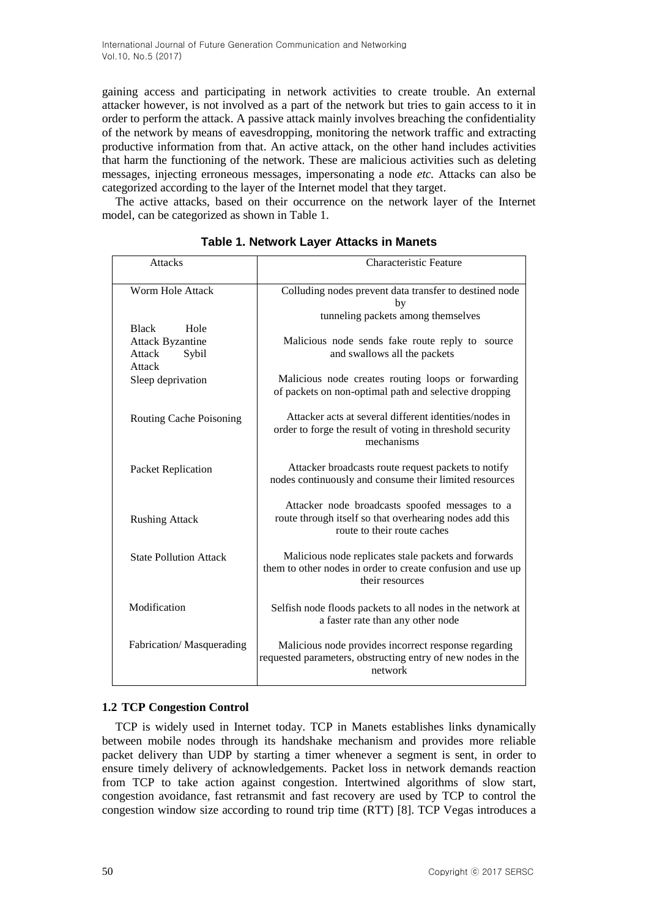gaining access and participating in network activities to create trouble. An external attacker however, is not involved as a part of the network but tries to gain access to it in order to perform the attack. A passive attack mainly involves breaching the confidentiality of the network by means of eavesdropping, monitoring the network traffic and extracting productive information from that. An active attack, on the other hand includes activities that harm the functioning of the network. These are malicious activities such as deleting messages, injecting erroneous messages, impersonating a node *etc.* Attacks can also be categorized according to the layer of the Internet model that they target.

The active attacks, based on their occurrence on the network layer of the Internet model, can be categorized as shown in Table 1.

| <b>Attacks</b>                 | <b>Characteristic Feature</b>                                                                                                            |
|--------------------------------|------------------------------------------------------------------------------------------------------------------------------------------|
| Worm Hole Attack               | Colluding nodes prevent data transfer to destined node<br>by                                                                             |
|                                | tunneling packets among themselves                                                                                                       |
| <b>Black</b><br>Hole           |                                                                                                                                          |
| <b>Attack Byzantine</b>        | Malicious node sends fake route reply to source                                                                                          |
| Attack<br>Sybil<br>Attack      | and swallows all the packets                                                                                                             |
| Sleep deprivation              | Malicious node creates routing loops or forwarding<br>of packets on non-optimal path and selective dropping                              |
|                                |                                                                                                                                          |
| <b>Routing Cache Poisoning</b> | Attacker acts at several different identities/nodes in<br>order to forge the result of voting in threshold security<br>mechanisms        |
| Packet Replication             | Attacker broadcasts route request packets to notify<br>nodes continuously and consume their limited resources                            |
| <b>Rushing Attack</b>          | Attacker node broadcasts spoofed messages to a<br>route through itself so that overhearing nodes add this<br>route to their route caches |
| <b>State Pollution Attack</b>  | Malicious node replicates stale packets and forwards<br>them to other nodes in order to create confusion and use up<br>their resources   |
| Modification                   | Selfish node floods packets to all nodes in the network at<br>a faster rate than any other node                                          |
| Fabrication/Masquerading       | Malicious node provides incorrect response regarding<br>requested parameters, obstructing entry of new nodes in the<br>network           |

**Table 1. Network Layer Attacks in Manets**

# **1.2 TCP Congestion Control**

touay. Tell in maliets establishes links dynamic between mobile nodes through its handshake mechanism and provides more reliable TCP is widely used in Internet today. TCP in Manets establishes links dynamically packet delivery than UDP by starting a timer whenever a segment is sent, in order to ensure timely delivery of acknowledgements. Packet loss in network demands reaction from TCP to take action against congestion. Intertwined algorithms of slow start, congestion avoidance, fast retransmit and fast recovery are used by TCP to control the congestion window size according to round trip time (RTT) [8]. TCP Vegas introduces a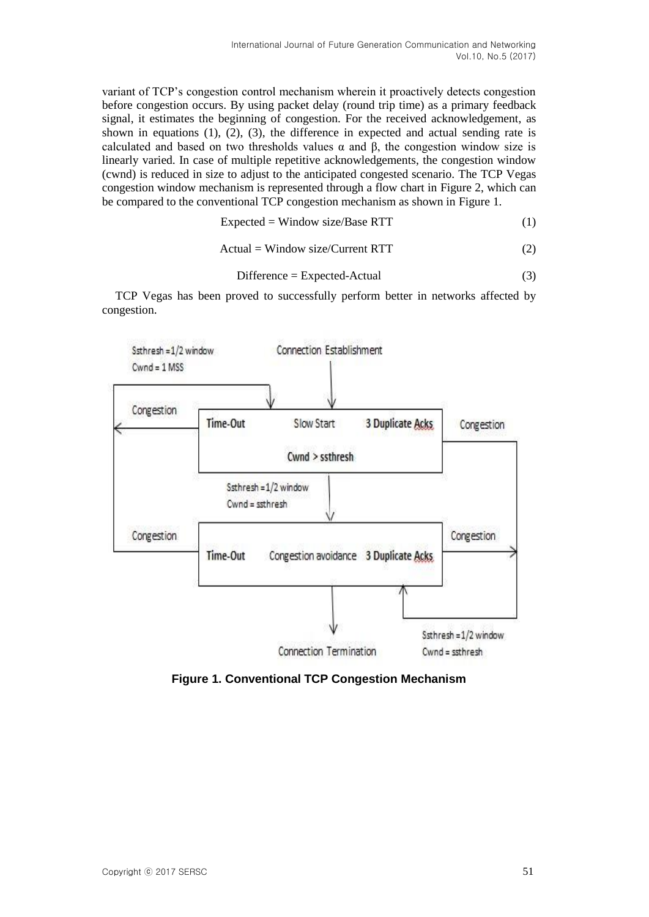variant of TCP's congestion control mechanism wherein it proactively detects congestion before congestion occurs. By using packet delay (round trip time) as a primary feedback signal, it estimates the beginning of congestion. For the received acknowledgement, as shown in equations  $(1)$ ,  $(2)$ ,  $(3)$ , the difference in expected and actual sending rate is calculated and based on two thresholds values  $\alpha$  and  $\beta$ , the congestion window size is linearly varied. In case of multiple repetitive acknowledgements, the congestion window (cwnd) is reduced in size to adjust to the anticipated congested scenario. The TCP Vegas congestion window mechanism is represented through a flow chart in Figure 2, which can be compared to the conventional TCP congestion mechanism as shown in Figure 1.

$$
Expected = Window size/Base RTT
$$
 (1)

$$
Actual = Window size/Current RTT
$$
 (2)

$$
Difference = Expected-Actual
$$
 (3)

TCP Vegas has been proved to successfully perform better in networks affected by congestion.



**Figure 1. Conventional TCP Congestion Mechanism**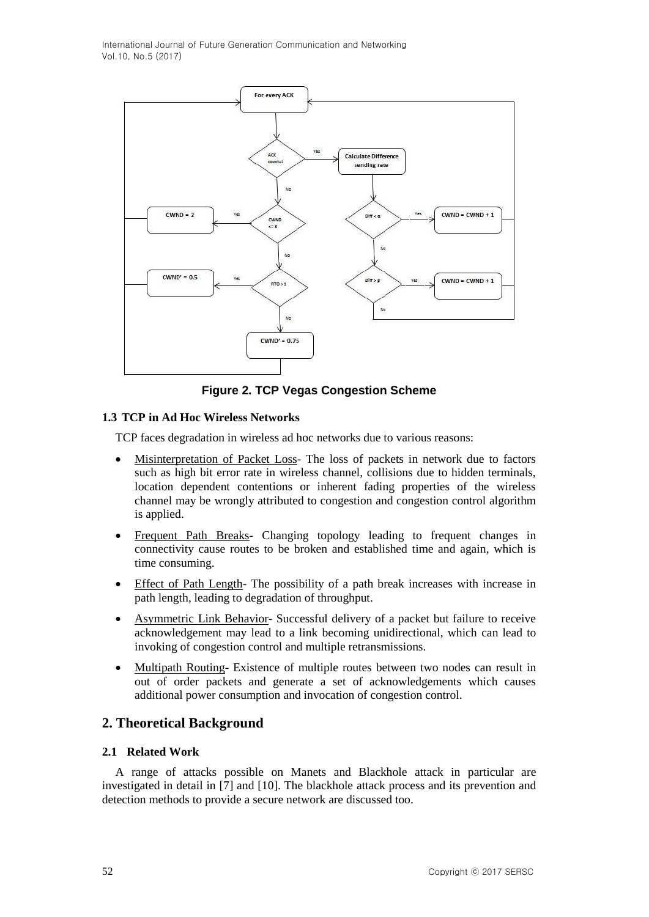International Journal of Future Generation Communication and Networking Vol.10, No.5 (2017)



**Figure 2. TCP Vegas Congestion Scheme**

### **1.3 TCP in Ad Hoc Wireless Networks**

TCP faces degradation in wireless ad hoc networks due to various reasons:

- Misinterpretation of Packet Loss- The loss of packets in network due to factors such as high bit error rate in wireless channel, collisions due to hidden terminals, location dependent contentions or inherent fading properties of the wireless channel may be wrongly attributed to congestion and congestion control algorithm is applied.
- Frequent Path Breaks- Changing topology leading to frequent changes in connectivity cause routes to be broken and established time and again, which is time consuming.
- Effect of Path Length- The possibility of a path break increases with increase in path length, leading to degradation of throughput.
- Asymmetric Link Behavior- Successful delivery of a packet but failure to receive acknowledgement may lead to a link becoming unidirectional, which can lead to invoking of congestion control and multiple retransmissions.
- Multipath Routing- Existence of multiple routes between two nodes can result in out of order packets and generate a set of acknowledgements which causes additional power consumption and invocation of congestion control.

# **2. Theoretical Background**

#### **2.1 Related Work**

A range of attacks possible on Manets and Blackhole attack in particular are investigated in detail in [7] and [10]. The blackhole attack process and its prevention and detection methods to provide a secure network are discussed too.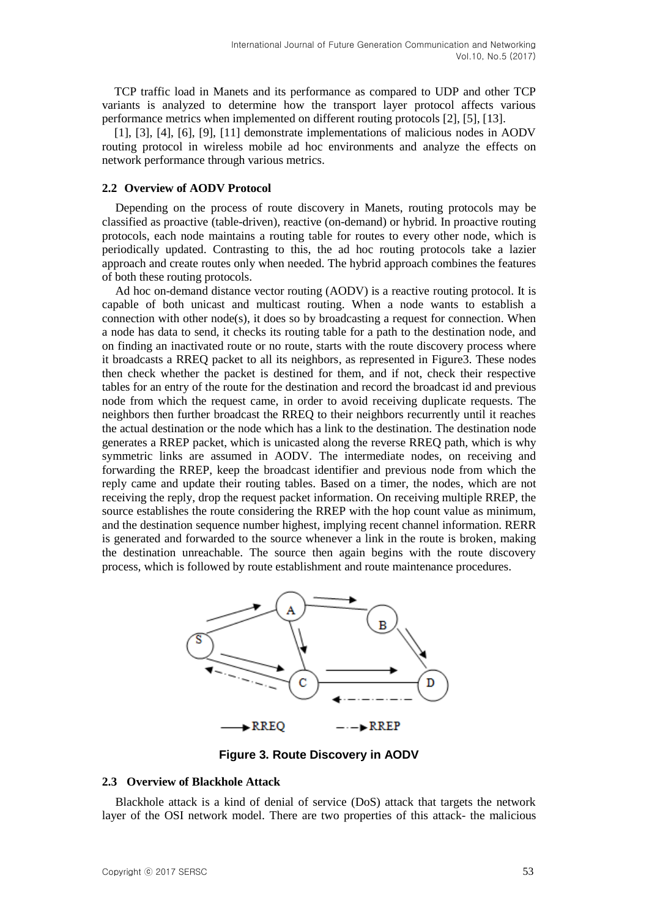TCP traffic load in Manets and its performance as compared to UDP and other TCP variants is analyzed to determine how the transport layer protocol affects various performance metrics when implemented on different routing protocols [2], [5], [13].

[1], [3], [4], [6], [9], [11] demonstrate implementations of malicious nodes in AODV routing protocol in wireless mobile ad hoc environments and analyze the effects on network performance through various metrics.

#### **2.2 Overview of AODV Protocol**

Depending on the process of route discovery in Manets, routing protocols may be classified as proactive (table-driven), reactive (on-demand) or hybrid. In proactive routing protocols, each node maintains a routing table for routes to every other node, which is periodically updated. Contrasting to this, the ad hoc routing protocols take a lazier approach and create routes only when needed. The hybrid approach combines the features of both these routing protocols.

Ad hoc on-demand distance vector routing (AODV) is a reactive routing protocol. It is capable of both unicast and multicast routing. When a node wants to establish a connection with other node(s), it does so by broadcasting a request for connection. When a node has data to send, it checks its routing table for a path to the destination node, and on finding an inactivated route or no route, starts with the route discovery process where it broadcasts a RREQ packet to all its neighbors, as represented in Figure3. These nodes then check whether the packet is destined for them, and if not, check their respective tables for an entry of the route for the destination and record the broadcast id and previous node from which the request came, in order to avoid receiving duplicate requests. The neighbors then further broadcast the RREQ to their neighbors recurrently until it reaches the actual destination or the node which has a link to the destination. The destination node generates a RREP packet, which is unicasted along the reverse RREQ path, which is why symmetric links are assumed in AODV. The intermediate nodes, on receiving and forwarding the RREP, keep the broadcast identifier and previous node from which the reply came and update their routing tables. Based on a timer, the nodes, which are not receiving the reply, drop the request packet information. On receiving multiple RREP, the source establishes the route considering the RREP with the hop count value as minimum, and the destination sequence number highest, implying recent channel information. RERR is generated and forwarded to the source whenever a link in the route is broken, making the destination unreachable. The source then again begins with the route discovery process, which is followed by route establishment and route maintenance procedures.



**Figure 3. Route Discovery in AODV**

#### **2.3 Overview of Blackhole Attack**

Blackhole attack is a kind of denial of service (DoS) attack that targets the network layer of the OSI network model. There are two properties of this attack- the malicious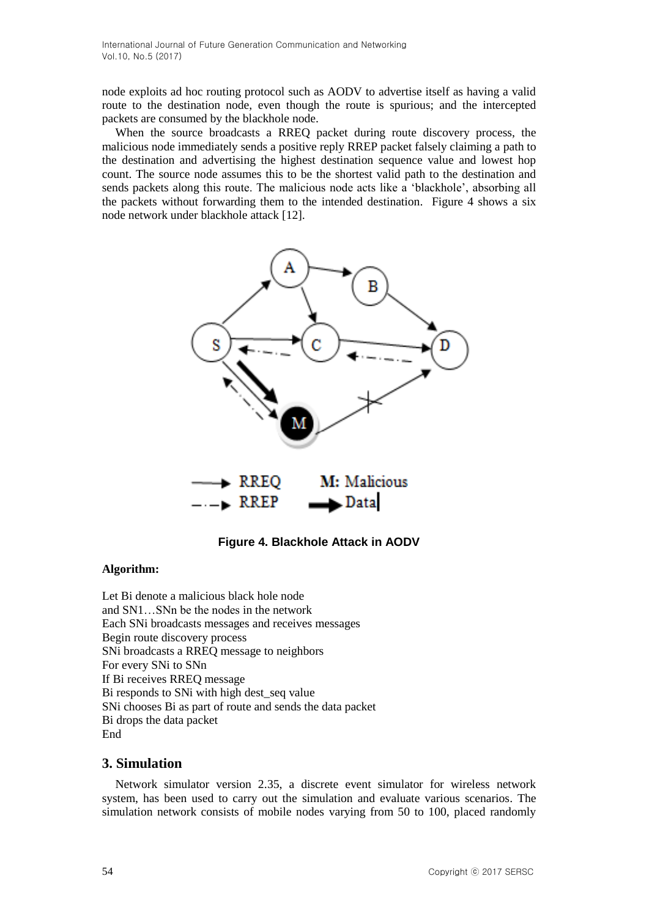node exploits ad hoc routing protocol such as AODV to advertise itself as having a valid route to the destination node, even though the route is spurious; and the intercepted packets are consumed by the blackhole node.

When the source broadcasts a RREQ packet during route discovery process, the malicious node immediately sends a positive reply RREP packet falsely claiming a path to the destination and advertising the highest destination sequence value and lowest hop count. The source node assumes this to be the shortest valid path to the destination and sends packets along this route. The malicious node acts like a 'blackhole', absorbing all the packets without forwarding them to the intended destination. Figure 4 shows a six node network under blackhole attack [12].



**Figure 4. Blackhole Attack in AODV**

#### **Algorithm:**

Let Bi denote a malicious black hole node and SN1…SNn be the nodes in the network Each SNi broadcasts messages and receives messages Begin route discovery process SNi broadcasts a RREQ message to neighbors For every SNi to SNn If Bi receives RREQ message Bi responds to SNi with high dest\_seq value SNi chooses Bi as part of route and sends the data packet Bi drops the data packet End

# **3. Simulation**

Network simulator version 2.35, a discrete event simulator for wireless network system, has been used to carry out the simulation and evaluate various scenarios. The simulation network consists of mobile nodes varying from 50 to 100, placed randomly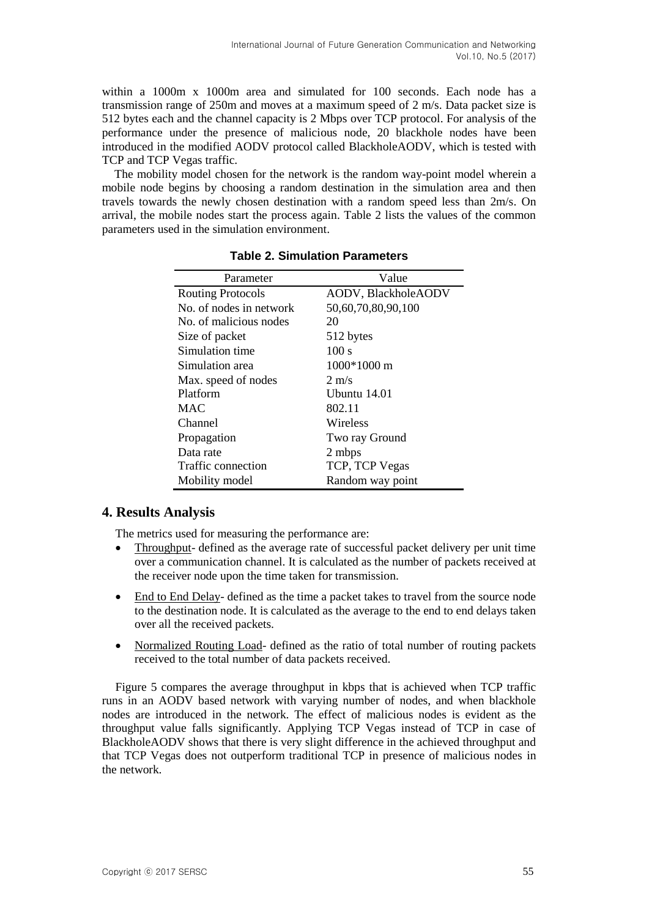within a 1000m x 1000m area and simulated for 100 seconds. Each node has a transmission range of 250m and moves at a maximum speed of 2 m/s. Data packet size is 512 bytes each and the channel capacity is 2 Mbps over TCP protocol. For analysis of the performance under the presence of malicious node, 20 blackhole nodes have been introduced in the modified AODV protocol called BlackholeAODV, which is tested with TCP and TCP Vegas traffic.

The mobility model chosen for the network is the random way-point model wherein a mobile node begins by choosing a random destination in the simulation area and then travels towards the newly chosen destination with a random speed less than 2m/s. On arrival, the mobile nodes start the process again. Table 2 lists the values of the common parameters used in the simulation environment.

| Parameter                | Value               |
|--------------------------|---------------------|
| <b>Routing Protocols</b> | AODV, BlackholeAODV |
| No. of nodes in network  | 50,60,70,80,90,100  |
| No. of malicious nodes   | 20                  |
| Size of packet           | 512 bytes           |
| Simulation time          | 100 s               |
| Simulation area          | 1000*1000 m         |
| Max. speed of nodes      | $2 \text{ m/s}$     |
| Platform                 | Ubuntu 14.01        |
| <b>MAC</b>               | 802.11              |
| Channel                  | Wireless            |
| Propagation              | Two ray Ground      |
| Data rate                | 2 mbps              |
| Traffic connection       | TCP, TCP Vegas      |
| Mobility model           | Random way point    |

**Table 2. Simulation Parameters**

# **4. Results Analysis**

The metrics used for measuring the performance are:

- Throughput- defined as the average rate of successful packet delivery per unit time over a communication channel. It is calculated as the number of packets received at the receiver node upon the time taken for transmission.
- End to End Delay- defined as the time a packet takes to travel from the source node to the destination node. It is calculated as the average to the end to end delays taken over all the received packets.
- Normalized Routing Load- defined as the ratio of total number of routing packets received to the total number of data packets received.

Figure 5 compares the average throughput in kbps that is achieved when TCP traffic runs in an AODV based network with varying number of nodes, and when blackhole nodes are introduced in the network. The effect of malicious nodes is evident as the throughput value falls significantly. Applying TCP Vegas instead of TCP in case of BlackholeAODV shows that there is very slight difference in the achieved throughput and that TCP Vegas does not outperform traditional TCP in presence of malicious nodes in the network.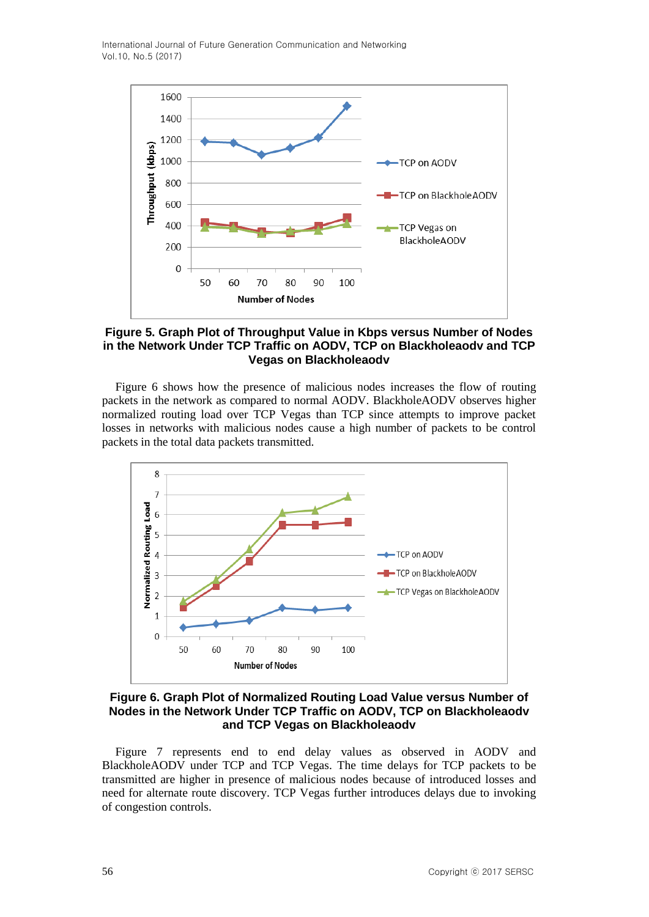International Journal of Future Generation Communication and Networking Vol.10, No.5 (2017)



**Figure 5. Graph Plot of Throughput Value in Kbps versus Number of Nodes in the Network Under TCP Traffic on AODV, TCP on Blackholeaodv and TCP Vegas on Blackholeaodv**

Figure 6 shows how the presence of malicious nodes increases the flow of routing packets in the network as compared to normal AODV. BlackholeAODV observes higher normalized routing load over TCP Vegas than TCP since attempts to improve packet losses in networks with malicious nodes cause a high number of packets to be control packets in the total data packets transmitted.



**Figure 6. Graph Plot of Normalized Routing Load Value versus Number of Nodes in the Network Under TCP Traffic on AODV, TCP on Blackholeaodv and TCP Vegas on Blackholeaodv**

Figure 7 represents end to end delay values as observed in AODV and BlackholeAODV under TCP and TCP Vegas. The time delays for TCP packets to be transmitted are higher in presence of malicious nodes because of introduced losses and need for alternate route discovery. TCP Vegas further introduces delays due to invoking of congestion controls.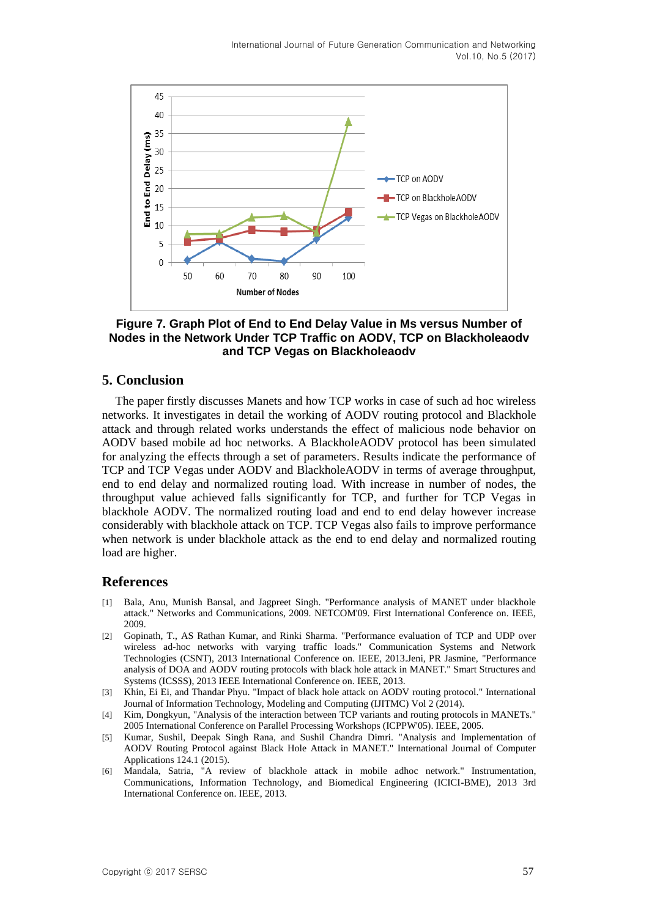

#### **Figure 7. Graph Plot of End to End Delay Value in Ms versus Number of Nodes in the Network Under TCP Traffic on AODV, TCP on Blackholeaodv and TCP Vegas on Blackholeaodv**

### **5. Conclusion**

The paper firstly discusses Manets and how TCP works in case of such ad hoc wireless networks. It investigates in detail the working of AODV routing protocol and Blackhole attack and through related works understands the effect of malicious node behavior on AODV based mobile ad hoc networks. A BlackholeAODV protocol has been simulated for analyzing the effects through a set of parameters. Results indicate the performance of TCP and TCP Vegas under AODV and BlackholeAODV in terms of average throughput, end to end delay and normalized routing load. With increase in number of nodes, the throughput value achieved falls significantly for TCP, and further for TCP Vegas in blackhole AODV. The normalized routing load and end to end delay however increase considerably with blackhole attack on TCP. TCP Vegas also fails to improve performance when network is under blackhole attack as the end to end delay and normalized routing load are higher.

#### **References**

- [1] Bala, Anu, Munish Bansal, and Jagpreet Singh. "Performance analysis of MANET under blackhole attack." Networks and Communications, 2009. NETCOM'09. First International Conference on. IEEE, 2009.
- [2] Gopinath, T., AS Rathan Kumar, and Rinki Sharma. "Performance evaluation of TCP and UDP over wireless ad-hoc networks with varying traffic loads." Communication Systems and Network Technologies (CSNT), 2013 International Conference on. IEEE, 2013.Jeni, PR Jasmine, "Performance analysis of DOA and AODV routing protocols with black hole attack in MANET." Smart Structures and Systems (ICSSS), 2013 IEEE International Conference on. IEEE, 2013.
- [3] Khin, Ei Ei, and Thandar Phyu. "Impact of black hole attack on AODV routing protocol." International Journal of Information Technology, Modeling and Computing (IJITMC) Vol 2 (2014).
- [4] Kim, Dongkyun, "Analysis of the interaction between TCP variants and routing protocols in MANETs." 2005 International Conference on Parallel Processing Workshops (ICPPW'05). IEEE, 2005.
- [5] Kumar, Sushil, Deepak Singh Rana, and Sushil Chandra Dimri. "Analysis and Implementation of AODV Routing Protocol against Black Hole Attack in MANET." International Journal of Computer Applications 124.1 (2015).
- [6] Mandala, Satria, "A review of blackhole attack in mobile adhoc network." Instrumentation, Communications, Information Technology, and Biomedical Engineering (ICICI-BME), 2013 3rd International Conference on. IEEE, 2013.